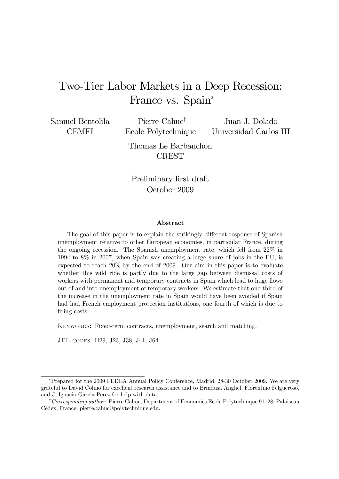# Two-Tier Labor Markets in a Deep Recession: France vs. Spain<sup>\*</sup>

Samuel Bentolila CEMFI

Pierre Cahuc† Ecole Polytechnique Juan J. Dolado Universidad Carlos III

Thomas Le Barbanchon CREST

Preliminary first draft October 2009

#### Abstract

The goal of this paper is to explain the strikingly different response of Spanish unemployment relative to other European economies, in particular France, during the ongoing recession. The Spanish unemployment rate, which fell from 22% in 1994 to 8% in 2007, when Spain was creating a large share of jobs in the EU, is expected to reach 20% by the end of 2009. Our aim in this paper is to evaluate whether this wild ride is partly due to the large gap between dismissal costs of workers with permanent and temporary contracts in Spain which lead to huge flows out of and into unemployment of temporary workers. We estimate that one-third of the increase in the unemployment rate in Spain would have been avoided if Spain had had French employment protection institutions, one fourth of which is due to firing costs.

KEYWORDS: Fixed-term contracts, unemployment, search and matching.

JEL codes: H29, J23, J38, J41, J64.

<sup>∗</sup>Prepared for the 2009 FEDEA Annual Policy Conference, Madrid, 28-30 October 2009. We are very grateful to David Colino for excellent research assistance and to Brindusa Anghel, Florentino Felgueroso, and J. Ignacio Garcia-Pérez for help with data.

<sup>&</sup>lt;sup>†</sup>Corresponding author: Pierre Cahuc, Department of Economics Ecole Polytechnique 91128, Palaiseau Cedex, France, pierre.cahuc@polytechnique.edu.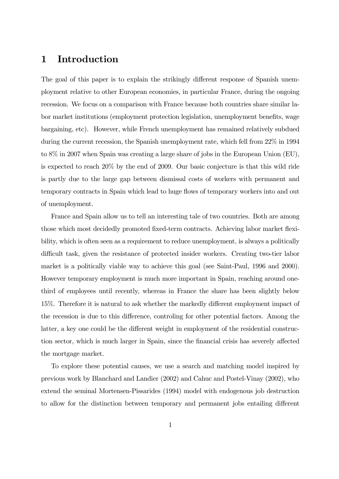## 1 Introduction

The goal of this paper is to explain the strikingly different response of Spanish unemployment relative to other European economies, in particular France, during the ongoing recession. We focus on a comparison with France because both countries share similar labor market institutions (employment protection legislation, unemployment benefits, wage bargaining, etc). However, while French unemployment has remained relatively subdued during the current recession, the Spanish unemployment rate, which fell from 22% in 1994 to 8% in 2007 when Spain was creating a large share of jobs in the European Union (EU), is expected to reach 20% by the end of 2009. Our basic conjecture is that this wild ride is partly due to the large gap between dismissal costs of workers with permanent and temporary contracts in Spain which lead to huge flows of temporary workers into and out of unemployment.

France and Spain allow us to tell an interesting tale of two countries. Both are among those which most decidedly promoted fixed-term contracts. Achieving labor market flexibility, which is often seen as a requirement to reduce unemployment, is always a politically difficult task, given the resistance of protected insider workers. Creating two-tier labor market is a politically viable way to achieve this goal (see Saint-Paul, 1996 and 2000). However temporary employment is much more important in Spain, reaching around onethird of employees until recently, whereas in France the share has been slightly below 15%. Therefore it is natural to ask whether the markedly different employment impact of the recession is due to this difference, controling for other potential factors. Among the latter, a key one could be the different weight in employment of the residential construction sector, which is much larger in Spain, since the financial crisis has severely affected the mortgage market.

To explore these potential causes, we use a search and matching model inspired by previous work by Blanchard and Landier (2002) and Cahuc and Postel-Vinay (2002), who extend the seminal Mortensen-Pissarides (1994) model with endogenous job destruction to allow for the distinction between temporary and permanent jobs entailing different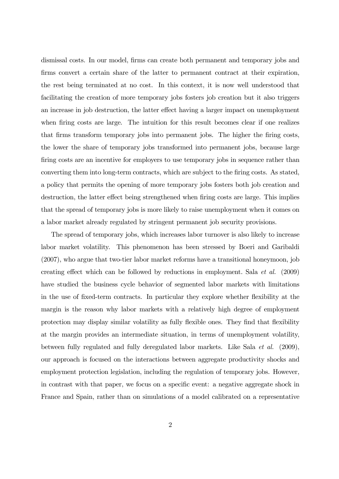dismissal costs. In our model, firms can create both permanent and temporary jobs and firms convert a certain share of the latter to permanent contract at their expiration, the rest being terminated at no cost. In this context, it is now well understood that facilitating the creation of more temporary jobs fosters job creation but it also triggers an increase in job destruction, the latter effect having a larger impact on unemployment when firing costs are large. The intuition for this result becomes clear if one realizes that firms transform temporary jobs into permanent jobs. The higher the firing costs, the lower the share of temporary jobs transformed into permanent jobs, because large firing costs are an incentive for employers to use temporary jobs in sequence rather than converting them into long-term contracts, which are subject to the firing costs. As stated, a policy that permits the opening of more temporary jobs fosters both job creation and destruction, the latter effect being strengthened when firing costs are large. This implies that the spread of temporary jobs is more likely to raise unemployment when it comes on a labor market already regulated by stringent permanent job security provisions.

The spread of temporary jobs, which increases labor turnover is also likely to increase labor market volatility. This phenomenon has been stressed by Boeri and Garibaldi (2007), who argue that two-tier labor market reforms have a transitional honeymoon, job creating effect which can be followed by reductions in employment. Sala et al. (2009) have studied the business cycle behavior of segmented labor markets with limitations in the use of fixed-term contracts. In particular they explore whether flexibility at the margin is the reason why labor markets with a relatively high degree of employment protection may display similar volatility as fully flexible ones. They find that flexibility at the margin provides an intermediate situation, in terms of unemployment volatility, between fully regulated and fully deregulated labor markets. Like Sala et al. (2009), our approach is focused on the interactions between aggregate productivity shocks and employment protection legislation, including the regulation of temporary jobs. However, in contrast with that paper, we focus on a specific event: a negative aggregate shock in France and Spain, rather than on simulations of a model calibrated on a representative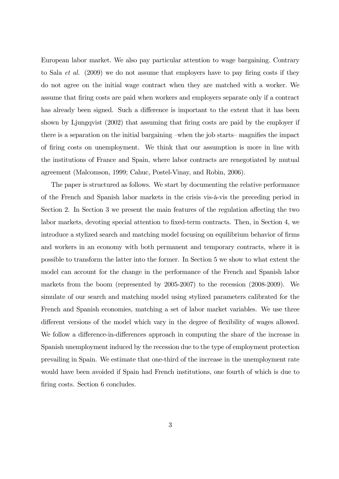European labor market. We also pay particular attention to wage bargaining. Contrary to Sala et al. (2009) we do not assume that employers have to pay firing costs if they do not agree on the initial wage contract when they are matched with a worker. We assume that firing costs are paid when workers and employers separate only if a contract has already been signed. Such a difference is important to the extent that it has been shown by Ljungqvist (2002) that assuming that firing costs are paid by the employer if there is a separation on the initial bargaining —when the job starts— magnifies the impact of firing costs on unemployment. We think that our assumption is more in line with the institutions of France and Spain, where labor contracts are renegotiated by mutual agreement (Malcomson, 1999; Cahuc, Postel-Vinay, and Robin, 2006).

The paper is structured as follows. We start by documenting the relative performance of the French and Spanish labor markets in the crisis vis-à-vis the preceding period in Section 2. In Section 3 we present the main features of the regulation affecting the two labor markets, devoting special attention to fixed-term contracts. Then, in Section 4, we introduce a stylized search and matching model focusing on equilibrium behavior of firms and workers in an economy with both permanent and temporary contracts, where it is possible to transform the latter into the former. In Section 5 we show to what extent the model can account for the change in the performance of the French and Spanish labor markets from the boom (represented by 2005-2007) to the recession (2008-2009). We simulate of our search and matching model using stylized parameters calibrated for the French and Spanish economies, matching a set of labor market variables. We use three different versions of the model which vary in the degree of flexibility of wages allowed. We follow a difference-in-differences approach in computing the share of the increase in Spanish unemployment induced by the recession due to the type of employment protection prevailing in Spain. We estimate that one-third of the increase in the unemployment rate would have been avoided if Spain had French institutions, one fourth of which is due to firing costs. Section 6 concludes.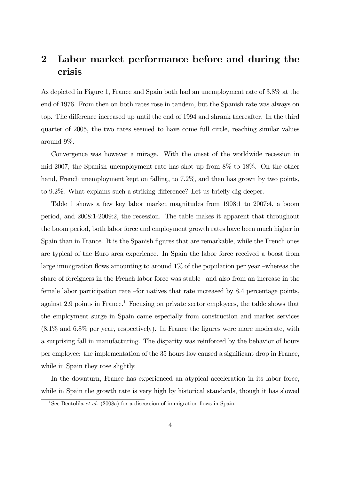## 2 Labor market performance before and during the crisis

As depicted in Figure 1, France and Spain both had an unemployment rate of 3.8% at the end of 1976. From then on both rates rose in tandem, but the Spanish rate was always on top. The difference increased up until the end of 1994 and shrank thereafter. In the third quarter of 2005, the two rates seemed to have come full circle, reaching similar values around 9%.

Convergence was however a mirage. With the onset of the worldwide recession in mid-2007, the Spanish unemployment rate has shot up from 8% to 18%. On the other hand, French unemployment kept on falling, to 7.2\%, and then has grown by two points, to 9.2%. What explains such a striking difference? Let us briefly dig deeper.

Table 1 shows a few key labor market magnitudes from 1998:1 to 2007:4, a boom period, and 2008:1-2009:2, the recession. The table makes it apparent that throughout the boom period, both labor force and employment growth rates have been much higher in Spain than in France. It is the Spanish figures that are remarkable, while the French ones are typical of the Euro area experience. In Spain the labor force received a boost from large immigration flows amounting to around 1% of the population per year —whereas the share of foreigners in the French labor force was stable— and also from an increase in the female labor participation rate —for natives that rate increased by 8.4 percentage points, against  $2.9$  points in France.<sup>1</sup> Focusing on private sector employees, the table shows that the employment surge in Spain came especially from construction and market services (8.1% and 6.8% per year, respectively). In France the figures were more moderate, with a surprising fall in manufacturing. The disparity was reinforced by the behavior of hours per employee: the implementation of the 35 hours law caused a significant drop in France, while in Spain they rose slightly.

In the downturn, France has experienced an atypical acceleration in its labor force, while in Spain the growth rate is very high by historical standards, though it has slowed

 $\frac{1}{1}$ See Bentolila *et al.* (2008a) for a discussion of immigration flows in Spain.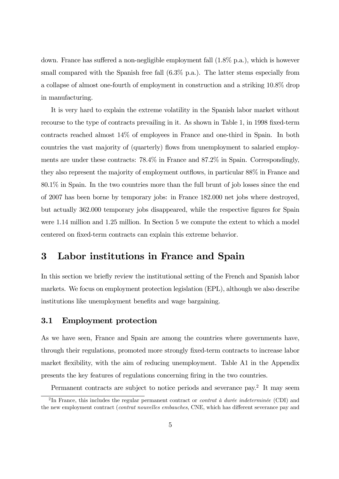down. France has suffered a non-negligible employment fall (1.8% p.a.), which is however small compared with the Spanish free fall  $(6.3\%$  p.a.). The latter stems especially from a collapse of almost one-fourth of employment in construction and a striking 10.8% drop in manufacturing.

It is very hard to explain the extreme volatility in the Spanish labor market without recourse to the type of contracts prevailing in it. As shown in Table 1, in 1998 fixed-term contracts reached almost 14% of employees in France and one-third in Spain. In both countries the vast majority of (quarterly) flows from unemployment to salaried employments are under these contracts: 78.4% in France and 87.2% in Spain. Correspondingly, they also represent the majority of employment outflows, in particular 88% in France and 80.1% in Spain. In the two countries more than the full brunt of job losses since the end of 2007 has been borne by temporary jobs: in France 182.000 net jobs where destroyed, but actually 362.000 temporary jobs disappeared, while the respective figures for Spain were 1.14 million and 1.25 million. In Section 5 we compute the extent to which a model centered on fixed-term contracts can explain this extreme behavior.

## 3 Labor institutions in France and Spain

In this section we briefly review the institutional setting of the French and Spanish labor markets. We focus on employment protection legislation (EPL), although we also describe institutions like unemployment benefits and wage bargaining.

#### 3.1 Employment protection

As we have seen, France and Spain are among the countries where governments have, through their regulations, promoted more strongly fixed-term contracts to increase labor market flexibility, with the aim of reducing unemployment. Table A1 in the Appendix presents the key features of regulations concerning firing in the two countries.

Permanent contracts are subject to notice periods and severance pay.<sup>2</sup> It may seem

<sup>&</sup>lt;sup>2</sup>In France, this includes the regular permanent contract or *contrat à durée indeterminée* (CDI) and the new employment contract (contrat nouvelles embauches, CNE, which has different severance pay and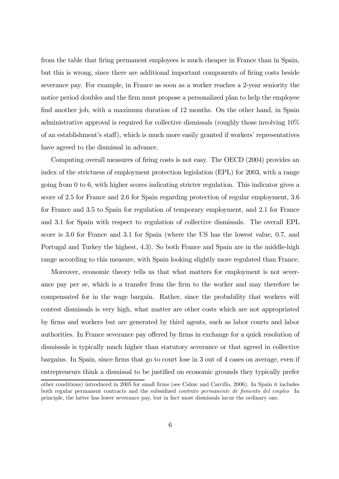from the table that firing permanent employees is much cheaper in France than in Spain, but this is wrong, since there are additional important components of firing costs beside severance pay. For example, in France as soon as a worker reaches a 2-year seniority the notice period doubles and the firm must propose a personalized plan to help the employee find another job, with a maximum duration of 12 months. On the other hand, in Spain administrative approval is required for collective dismissals (roughly those involving 10% of an establishment's staff), which is much more easily granted if workers' representatives have agreed to the dismissal in advance.

Computing overall measures of firing costs is not easy. The OECD (2004) provides an index of the strictness of employment protection legislation (EPL) for 2003, with a range going from 0 to 6, with higher scores indicating stricter regulation. This indicator gives a score of 2.5 for France and 2.6 for Spain regarding protection of regular employment, 3.6 for France and 3.5 to Spain for regulation of temporary employment, and 2.1 for France and 3.1 for Spain with respect to regulation of collective dismissals. The overall EPL score is 3.0 for France and 3.1 for Spain (where the US has the lowest value, 0.7, and Portugal and Turkey the highest, 4.3). So both France and Spain are in the middle-high range according to this measure, with Spain looking slightly more regulated than France.

Moreover, economic theory tells us that what matters for employment is not severance pay per se, which is a transfer from the firm to the worker and may therefore be compensated for in the wage bargain. Rather, since the probability that workers will contest dismissals is very high, what matter are other costs which are not appropriated by firms and workers but are generated by third agents, such as labor courts and labor authorities. In France severance pay offered by firms in exchange for a quick resolution of dismissals is typically much higher than statutory severance or that agreed in collective bargains. In Spain, since firms that go to court lose in 3 out of 4 cases on average, even if entrepreneurs think a dismissal to be justified on economic grounds they typically prefer

other conditions) introduced in 2005 for small firms (see Cahuc and Carcillo, 2006). In Spain it includes both regular permanent contracts and the subsidized contrato permanente de fomento del empleo In principle, the latter has lower severance pay, but in fact most dismissals incur the ordinary one.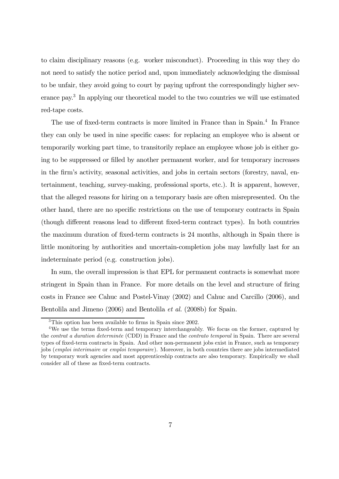to claim disciplinary reasons (e.g. worker misconduct). Proceeding in this way they do not need to satisfy the notice period and, upon immediately acknowledging the dismissal to be unfair, they avoid going to court by paying upfront the correspondingly higher severance pay.3 In applying our theoretical model to the two countries we will use estimated red-tape costs.

The use of fixed-term contracts is more limited in France than in Spain.<sup>4</sup> In France they can only be used in nine specific cases: for replacing an employee who is absent or temporarily working part time, to transitorily replace an employee whose job is either going to be suppressed or filled by another permanent worker, and for temporary increases in the firm's activity, seasonal activities, and jobs in certain sectors (forestry, naval, entertainment, teaching, survey-making, professional sports, etc.). It is apparent, however, that the alleged reasons for hiring on a temporary basis are often misrepresented. On the other hand, there are no specific restrictions on the use of temporary contracts in Spain (though different reasons lead to different fixed-term contract types). In both countries the maximum duration of fixed-term contracts is 24 months, although in Spain there is little monitoring by authorities and uncertain-completion jobs may lawfully last for an indeterminate period (e.g. construction jobs).

In sum, the overall impression is that EPL for permanent contracts is somewhat more stringent in Spain than in France. For more details on the level and structure of firing costs in France see Cahuc and Postel-Vinay (2002) and Cahuc and Carcillo (2006), and Bentolila and Jimeno (2006) and Bentolila et al. (2008b) for Spain.

<sup>&</sup>lt;sup>3</sup>This option has been available to firms in Spain since 2002.

<sup>&</sup>lt;sup>4</sup>We use the terms fixed-term and temporary interchangeably. We focus on the former, captured by the contrat a duration determinée (CDD) in France and the contrato temporal in Spain. There are several types of fixed-term contracts in Spain. And other non-permanent jobs exist in France, such as temporary jobs (emploi interimaire or emploi temporaire). Moreover, in both countries there are jobs intermediated by temporary work agencies and most apprenticeship contracts are also temporary. Empirically we shall consider all of these as fixed-term contracts.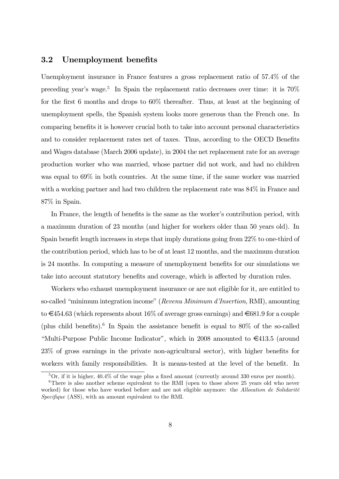#### 3.2 Unemployment benefits

Unemployment insurance in France features a gross replacement ratio of 57.4% of the preceding year's wage.<sup>5</sup> In Spain the replacement ratio decreases over time: it is  $70\%$ for the first 6 months and drops to 60% thereafter. Thus, at least at the beginning of unemployment spells, the Spanish system looks more generous than the French one. In comparing benefits it is however crucial both to take into account personal characteristics and to consider replacement rates net of taxes. Thus, according to the OECD Benefits and Wages database (March 2006 update), in 2004 the net replacement rate for an average production worker who was married, whose partner did not work, and had no children was equal to  $69\%$  in both countries. At the same time, if the same worker was married with a working partner and had two children the replacement rate was  $84\%$  in France and 87% in Spain.

In France, the length of benefits is the same as the worker's contribution period, with a maximum duration of 23 months (and higher for workers older than 50 years old). In Spain benefit length increases in steps that imply durations going from 22% to one-third of the contribution period, which has to be of at least 12 months, and the maximum duration is 24 months. In computing a measure of unemployment benefits for our simulations we take into account statutory benefits and coverage, which is affected by duration rules.

Workers who exhaust unemployment insurance or are not eligible for it, are entitled to so-called "minimum integration income" (Revenu Minimum d'Insertion, RMI), amounting to  $\epsilon$ 454.63 (which represents about 16% of average gross earnings) and  $\epsilon$ 681.9 for a couple (plus child benefits).<sup>6</sup> In Spain the assistance benefit is equal to  $80\%$  of the so-called "Multi-Purpose Public Income Indicator", which in 2008 amounted to  $\epsilon$ 413.5 (around 23% of gross earnings in the private non-agricultural sector), with higher benefits for workers with family responsibilities. It is means-tested at the level of the benefit. In

 $5$ Or, if it is higher,  $40.4\%$  of the wage plus a fixed amount (currently around 330 euros per month).

 $6$ There is also another scheme equivalent to the RMI (open to those above 25 years old who never worked) for those who have worked before and are not eligible anymore: the *Allocation de Solidarité* Specifique (ASS), with an amount equivalent to the RMI.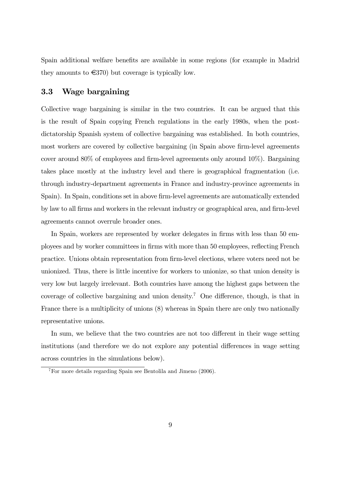Spain additional welfare benefits are available in some regions (for example in Madrid they amounts to  $\epsilon$ 370) but coverage is typically low.

#### 3.3 Wage bargaining

Collective wage bargaining is similar in the two countries. It can be argued that this is the result of Spain copying French regulations in the early 1980s, when the postdictatorship Spanish system of collective bargaining was established. In both countries, most workers are covered by collective bargaining (in Spain above firm-level agreements cover around 80% of employees and firm-level agreements only around 10%). Bargaining takes place mostly at the industry level and there is geographical fragmentation (i.e. through industry-department agreements in France and industry-province agreements in Spain). In Spain, conditions set in above firm-level agreements are automatically extended by law to all firms and workers in the relevant industry or geographical area, and firm-level agreements cannot overrule broader ones.

In Spain, workers are represented by worker delegates in firms with less than 50 employees and by worker committees in firms with more than 50 employees, reflecting French practice. Unions obtain representation from firm-level elections, where voters need not be unionized. Thus, there is little incentive for workers to unionize, so that union density is very low but largely irrelevant. Both countries have among the highest gaps between the coverage of collective bargaining and union density.<sup>7</sup> One difference, though, is that in France there is a multiplicity of unions (8) whereas in Spain there are only two nationally representative unions.

In sum, we believe that the two countries are not too different in their wage setting institutions (and therefore we do not explore any potential differences in wage setting across countries in the simulations below).

<sup>7</sup>For more details regarding Spain see Bentolila and Jimeno (2006).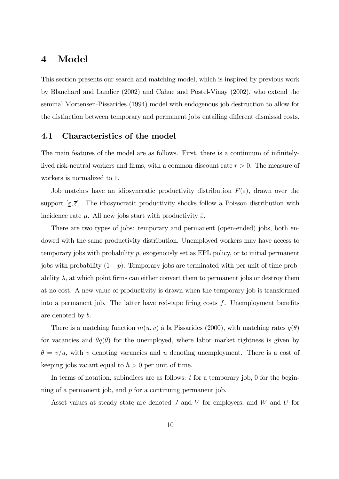## 4 Model

This section presents our search and matching model, which is inspired by previous work by Blanchard and Landier (2002) and Cahuc and Postel-Vinay (2002), who extend the seminal Mortensen-Pissarides (1994) model with endogenous job destruction to allow for the distinction between temporary and permanent jobs entailing different dismissal costs.

#### 4.1 Characteristics of the model

The main features of the model are as follows. First, there is a continuum of infinitelylived risk-neutral workers and firms, with a common discount rate  $r > 0$ . The measure of workers is normalized to 1.

Job matches have an idiosyncratic productivity distribution  $F(\varepsilon)$ , drawn over the support  $[\underline{\varepsilon}, \overline{\varepsilon}]$ . The idiosyncratic productivity shocks follow a Poisson distribution with incidence rate  $\mu$ . All new jobs start with productivity  $\overline{\epsilon}$ .

There are two types of jobs: temporary and permanent (open-ended) jobs, both endowed with the same productivity distribution. Unemployed workers may have access to temporary jobs with probability p, exogenously set as EPL policy, or to initial permanent jobs with probability  $(1-p)$ . Temporary jobs are terminated with per unit of time probability  $\lambda$ , at which point firms can either convert them to permanent jobs or destroy them at no cost. A new value of productivity is drawn when the temporary job is transformed into a permanent job. The latter have red-tape firing costs  $f$ . Unemployment benefits are denoted by b.

There is a matching function  $m(u, v)$  à la Pissarides (2000), with matching rates  $q(\theta)$ for vacancies and  $\theta q(\theta)$  for the unemployed, where labor market tightness is given by  $\theta = v/u$ , with v denoting vacancies and u denoting unemployment. There is a cost of keeping jobs vacant equal to  $h > 0$  per unit of time.

In terms of notation, subindices are as follows:  $t$  for a temporary job, 0 for the beginning of a permanent job, and p for a continuing permanent job.

Asset values at steady state are denoted  $J$  and  $V$  for employers, and  $W$  and  $U$  for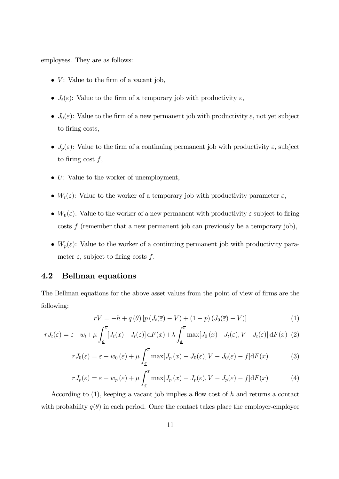employees. They are as follows:

- $V$ : Value to the firm of a vacant job,
- $J_t(\varepsilon)$ : Value to the firm of a temporary job with productivity  $\varepsilon$ ,
- $J_0(\varepsilon)$ : Value to the firm of a new permanent job with productivity  $\varepsilon$ , not yet subject to firing costs,
- $J_p(\varepsilon)$ : Value to the firm of a continuing permanent job with productivity  $\varepsilon$ , subject to firing cost  $f$ ,
- $\bullet$  U: Value to the worker of unemployment,
- $W_t(\varepsilon)$ : Value to the worker of a temporary job with productivity parameter  $\varepsilon$ ,
- $W_0(\varepsilon)$ : Value to the worker of a new permanent with productivity  $\varepsilon$  subject to firing  $\cos t$  (remember that a new permanent job can previously be a temporary job),
- $W_p(\varepsilon)$ : Value to the worker of a continuing permanent job with productivity parameter  $\varepsilon$ , subject to firing costs f.

#### 4.2 Bellman equations

The Bellman equations for the above asset values from the point of view of firms are the following:

$$
rV = -h + q(\theta) \left[ p \left( J_t(\overline{\varepsilon}) - V \right) + (1 - p) \left( J_0(\overline{\varepsilon}) - V \right) \right]
$$
 (1)

$$
rJ_t(\varepsilon) = \varepsilon - w_t + \mu \int_{\varepsilon}^{\overline{\varepsilon}} \left[ J_t(x) - J_t(\varepsilon) \right] dF(x) + \lambda \int_{\varepsilon}^{\overline{\varepsilon}} \max\left[ J_0(x) - J_t(\varepsilon), V - J_t(\varepsilon) \right] dF(x) \tag{2}
$$

$$
rJ_0(\varepsilon) = \varepsilon - w_0(\varepsilon) + \mu \int_{\varepsilon}^{\overline{\varepsilon}} \max[J_p(x) - J_0(\varepsilon), V - J_0(\varepsilon) - f] dF(x) \tag{3}
$$

$$
rJ_p(\varepsilon) = \varepsilon - w_p(\varepsilon) + \mu \int_{\varepsilon}^{\overline{\varepsilon}} \max[J_p(x) - J_p(\varepsilon), V - J_p(\varepsilon) - f] \mathrm{d}F(x) \tag{4}
$$

According to  $(1)$ , keeping a vacant job implies a flow cost of h and returns a contact with probability  $q(\theta)$  in each period. Once the contact takes place the employer-employee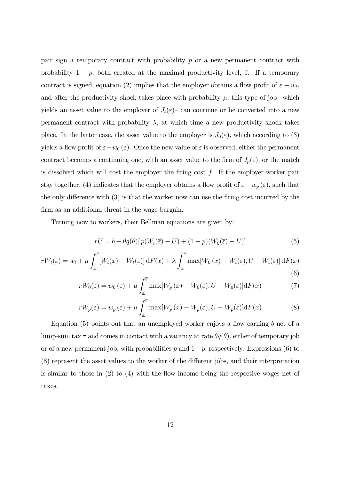pair sign a temporary contract with probability  $p$  or a new permanent contract with probability  $1 - p$ , both created at the maximal productivity level,  $\overline{\varepsilon}$ . If a temporary contract is signed, equation (2) implies that the employer obtains a flow profit of  $\varepsilon - w_t$ , and after the productivity shock takes place with probability  $\mu$ , this type of job –which yields an asset value to the employer of  $J_t(\varepsilon)$  can continue or be converted into a new permanent contract with probability  $\lambda$ , at which time a new productivity shock takes place. In the latter case, the asset value to the employer is  $J_0(\varepsilon)$ , which according to (3) yields a flow profit of  $\varepsilon-w_0(\varepsilon)$ . Once the new value of  $\varepsilon$  is observed, either the permanent contract becomes a continuing one, with an asset value to the firm of  $J_p(\varepsilon)$ , or the match is dissolved which will cost the employer the firing cost  $f$ . If the employer-worker pair stay together, (4) indicates that the employer obtains a flow profit of  $\varepsilon - w_p(\varepsilon)$ , such that the only difference with (3) is that the worker now can use the firing cost incurred by the firm as an additional threat in the wage bargain.

Turning now to workers, their Bellman equations are given by:

$$
rU = b + \theta q(\theta) [p(W_t(\overline{z}) - U) + (1 - p)(W_0(\overline{z}) - U)] \tag{5}
$$

$$
rW_t(\varepsilon) = w_t + \mu \int_{\varepsilon}^{\overline{\varepsilon}} \left[ W_t(x) - W_t(\varepsilon) \right] dF(x) + \lambda \int_{\varepsilon}^{\overline{\varepsilon}} \max[W_0(x) - W_t(\varepsilon), U - W_t(\varepsilon)] dF(x) \tag{6}
$$

$$
rW_0(\varepsilon) = w_0(\varepsilon) + \mu \int_{\varepsilon}^{\overline{\varepsilon}} \max[W_p(x) - W_0(\varepsilon), U - W_0(\varepsilon)] \mathrm{d}F(x) \tag{7}
$$

$$
rW_p(\varepsilon) = w_p(\varepsilon) + \mu \int_{\varepsilon}^{\overline{\varepsilon}} \max[W_p(x) - W_p(\varepsilon), U - W_p(\varepsilon)] \mathrm{d}F(x) \tag{8}
$$

Equation (5) points out that an unemployed worker enjoys a flow earning  $b$  net of a lump-sum tax  $\tau$  and comes in contact with a vacancy at rate  $\theta q(\theta)$ , either of temporary job or of a new permanent job, with probabilities p and  $1-p$ , respectively. Expressions (6) to (8) represent the asset values to the worker of the different jobs, and their interpretation is similar to those in (2) to (4) with the flow income being the respective wages net of taxes.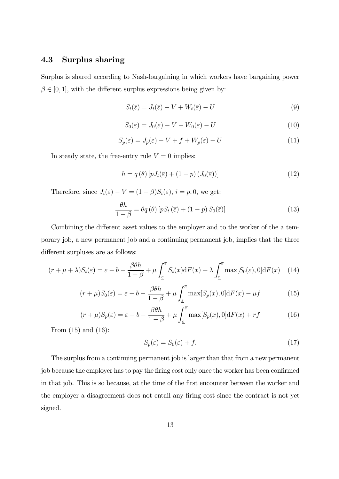### 4.3 Surplus sharing

Surplus is shared according to Nash-bargaining in which workers have bargaining power  $\beta \in [0, 1]$ , with the different surplus expressions being given by:

$$
S_t(\bar{\varepsilon}) = J_t(\bar{\varepsilon}) - V + W_t(\bar{\varepsilon}) - U \tag{9}
$$

$$
S_0(\varepsilon) = J_0(\varepsilon) - V + W_0(\varepsilon) - U \tag{10}
$$

$$
S_p(\varepsilon) = J_p(\varepsilon) - V + f + W_p(\varepsilon) - U \tag{11}
$$

In steady state, the free-entry rule  $V = 0$  implies:

$$
h = q(\theta) \left[ pJ_t(\overline{\varepsilon}) + (1 - p) \left( J_0(\overline{\varepsilon}) \right) \right]
$$
 (12)

Therefore, since  $J_i(\overline{\varepsilon}) - V = (1 - \beta)S_i(\overline{\varepsilon}), i = p, 0$ , we get:

$$
\frac{\theta h}{1-\beta} = \theta q(\theta) \left[ pS_t\left(\overline{\varepsilon}\right) + (1-p) S_0(\overline{\varepsilon}) \right]
$$
(13)

Combining the different asset values to the employer and to the worker of the a temporary job, a new permanent job and a continuing permanent job, implies that the three different surpluses are as follows:

$$
(r + \mu + \lambda)S_t(\varepsilon) = \varepsilon - b - \frac{\beta \theta h}{1 - \beta} + \mu \int_{\varepsilon}^{\overline{\varepsilon}} S_t(x) dF(x) + \lambda \int_{\varepsilon}^{\overline{\varepsilon}} \max[S_0(\varepsilon), 0] dF(x) \quad (14)
$$

$$
(r+\mu)S_0(\varepsilon) = \varepsilon - b - \frac{\beta \theta h}{1-\beta} + \mu \int_{\varepsilon}^{\overline{\varepsilon}} \max[S_p(x), 0] dF(x) - \mu f \tag{15}
$$

$$
(r+\mu)S_p(\varepsilon) = \varepsilon - b - \frac{\beta \theta h}{1-\beta} + \mu \int_{\varepsilon}^{\overline{\varepsilon}} \max[S_p(x), 0] dF(x) + rf \tag{16}
$$

From (15) and (16):

$$
S_p(\varepsilon) = S_0(\varepsilon) + f. \tag{17}
$$

The surplus from a continuing permanent job is larger than that from a new permanent job because the employer has to pay the firing cost only once the worker has been confirmed in that job. This is so because, at the time of the first encounter between the worker and the employer a disagreement does not entail any firing cost since the contract is not yet signed.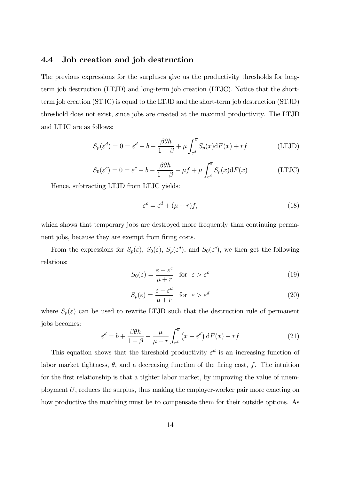#### 4.4 Job creation and job destruction

The previous expressions for the surpluses give us the productivity thresholds for longterm job destruction (LTJD) and long-term job creation (LTJC). Notice that the shortterm job creation (STJC) is equal to the LTJD and the short-term job destruction (STJD) threshold does not exist, since jobs are created at the maximal productivity. The LTJD and LTJC are as follows:

$$
S_p(\varepsilon^d) = 0 = \varepsilon^d - b - \frac{\beta \theta h}{1 - \beta} + \mu \int_{\varepsilon^d}^{\overline{\varepsilon}} S_p(x) dF(x) + rf \tag{LTJD}
$$

$$
S_0(\varepsilon^c) = 0 = \varepsilon^c - b - \frac{\beta \theta h}{1 - \beta} - \mu f + \mu \int_{\varepsilon^d}^{\overline{\varepsilon}} S_p(x) dF(x)
$$
 (LTC)

Hence, subtracting LTJD from LTJC yields:

$$
\varepsilon^c = \varepsilon^d + (\mu + r)f,\tag{18}
$$

which shows that temporary jobs are destroyed more frequently than continuing permanent jobs, because they are exempt from firing costs.

From the expressions for  $S_p(\varepsilon)$ ,  $S_0(\varepsilon)$ ,  $S_p(\varepsilon^d)$ , and  $S_0(\varepsilon^c)$ , we then get the following relations:

$$
S_0(\varepsilon) = \frac{\varepsilon - \varepsilon^c}{\mu + r} \quad \text{for } \varepsilon > \varepsilon^c \tag{19}
$$

$$
S_p(\varepsilon) = \frac{\varepsilon - \varepsilon^d}{\mu + r} \quad \text{for } \varepsilon > \varepsilon^d \tag{20}
$$

where  $S_p(\varepsilon)$  can be used to rewrite LTJD such that the destruction rule of permanent jobs becomes:

$$
\varepsilon^{d} = b + \frac{\beta \theta h}{1 - \beta} - \frac{\mu}{\mu + r} \int_{\varepsilon^{d}}^{\overline{\varepsilon}} (x - \varepsilon^{d}) \, dF(x) - rf \tag{21}
$$

This equation shows that the threshold productivity  $\varepsilon^d$  is an increasing function of labor market tightness,  $\theta$ , and a decreasing function of the firing cost, f. The intuition for the first relationship is that a tighter labor market, by improving the value of unemployment U, reduces the surplus, thus making the employer-worker pair more exacting on how productive the matching must be to compensate them for their outside options. As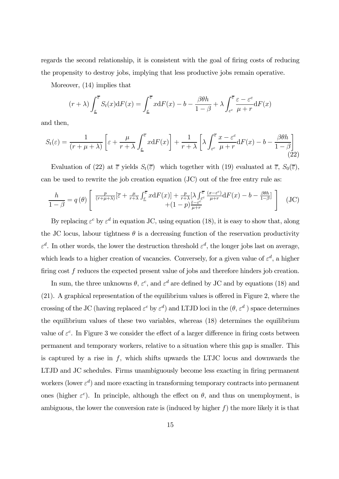regards the second relationship, it is consistent with the goal of firing costs of reducing the propensity to destroy jobs, implying that less productive jobs remain operative.

Moreover, (14) implies that

$$
(r + \lambda) \int_{\underline{\varepsilon}}^{\overline{\varepsilon}} S_t(x) dF(x) = \int_{\underline{\varepsilon}}^{\overline{\varepsilon}} x dF(x) - b - \frac{\beta \theta h}{1 - \beta} + \lambda \int_{\varepsilon}^{\overline{\varepsilon}} \frac{\varepsilon - \varepsilon^c}{\mu + r} dF(x)
$$

and then,

$$
S_t(\varepsilon) = \frac{1}{(r+\mu+\lambda)} \left[ \varepsilon + \frac{\mu}{r+\lambda} \int_{\varepsilon}^{\overline{\varepsilon}} x \mathrm{d}F(x) \right] + \frac{1}{r+\lambda} \left[ \lambda \int_{\varepsilon}^{\overline{\varepsilon}} \frac{x-\varepsilon^c}{\mu+r} \mathrm{d}F(x) - b - \frac{\beta \theta h}{1-\beta} \right] \tag{22}
$$

Evaluation of (22) at  $\overline{\varepsilon}$  yields  $S_t(\overline{\varepsilon})$  which together with (19) evaluated at  $\overline{\varepsilon}$ ,  $S_0(\overline{\varepsilon})$ , can be used to rewrite the job creation equation (JC) out of the free entry rule as:

$$
\frac{h}{1-\beta} = q(\theta) \left[ \frac{\frac{p}{(r+\mu+\lambda)}[\overline{\varepsilon} + \frac{\mu}{r+\lambda} \int_{\underline{\varepsilon}}^{\overline{\varepsilon}} x dF(x)] + \frac{p}{r+\lambda} [\lambda \int_{\varepsilon^c}^{\overline{\varepsilon}} \frac{(x-\varepsilon^c)}{\mu+r} dF(x) - b - \frac{\beta\theta h}{1-\beta}] + (JC)\right]
$$
(JC)

By replacing  $\varepsilon^c$  by  $\varepsilon^d$  in equation JC, using equation (18), it is easy to show that, along the JC locus, labour tightness  $\theta$  is a decreasing function of the reservation productivity  $\varepsilon^d$ . In other words, the lower the destruction threshold  $\varepsilon^d$ , the longer jobs last on average, which leads to a higher creation of vacancies. Conversely, for a given value of  $\varepsilon^d$ , a higher firing cost f reduces the expected present value of jobs and therefore hinders job creation.

In sum, the three unknowns  $\theta$ ,  $\varepsilon^c$ , and  $\varepsilon^d$  are defined by JC and by equations (18) and (21). A graphical representation of the equilibrium values is offered in Figure 2, where the crossing of the JC (having replaced  $\varepsilon^c$  by  $\varepsilon^d$ ) and LTJD loci in the  $(\theta, \varepsilon^d)$  space determines the equilibrium values of these two variables, whereas (18) determines the equilibrium value of  $\varepsilon^c$ . In Figure 3 we consider the effect of a larger difference in firing costs between permanent and temporary workers, relative to a situation where this gap is smaller. This is captured by a rise in  $f$ , which shifts upwards the LTJC locus and downwards the LTJD and JC schedules. Firms unambiguously become less exacting in firing permanent workers (lower  $\varepsilon^d$ ) and more exacting in transforming temporary contracts into permanent ones (higher  $\varepsilon^c$ ). In principle, although the effect on  $\theta$ , and thus on unemployment, is ambiguous, the lower the conversion rate is (induced by higher  $f$ ) the more likely it is that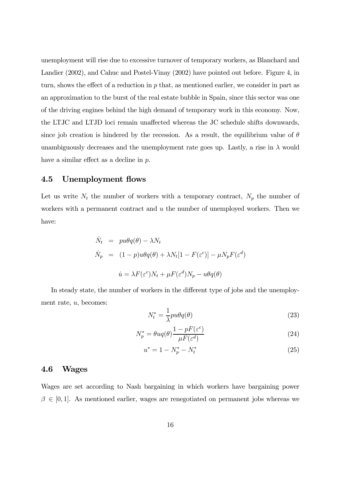unemployment will rise due to excessive turnover of temporary workers, as Blanchard and Landier (2002), and Cahuc and Postel-Vinay (2002) have pointed out before. Figure 4, in turn, shows the effect of a reduction in  $p$  that, as mentioned earlier, we consider in part as an approximation to the burst of the real estate bubble in Spain, since this sector was one of the driving engines behind the high demand of temporary work in this economy. Now, the LTJC and LTJD loci remain unaffected whereas the JC schedule shifts downwards, since job creation is hindered by the recession. As a result, the equilibrium value of  $\theta$ unambiguously decreases and the unemployment rate goes up. Lastly, a rise in  $\lambda$  would have a similar effect as a decline in p.

#### 4.5 Unemployment flows

Let us write  $N_t$  the number of workers with a temporary contract,  $N_p$  the number of workers with a permanent contract and  $u$  the number of unemployed workers. Then we have:

$$
\dot{N}_t = pu\theta q(\theta) - \lambda N_t
$$
\n
$$
\dot{N}_p = (1 - p)u\theta q(\theta) + \lambda N_t [1 - F(\varepsilon^c)] - \mu N_p F(\varepsilon^d)
$$
\n
$$
\dot{u} = \lambda F(\varepsilon^c) N_t + \mu F(\varepsilon^d) N_p - u\theta q(\theta)
$$

In steady state, the number of workers in the different type of jobs and the unemployment rate, u, becomes:

$$
N_t^* = \frac{1}{\lambda}pu\theta q(\theta)
$$
\n(23)

$$
N_p^* = \theta u q(\theta) \frac{1 - pF(\varepsilon^c)}{\mu F(\varepsilon^d)}
$$
\n(24)

$$
u^* = 1 - N_p^* - N_t^* \tag{25}
$$

#### 4.6 Wages

Wages are set according to Nash bargaining in which workers have bargaining power  $\beta \in [0,1]$ . As mentioned earlier, wages are renegotiated on permanent jobs whereas we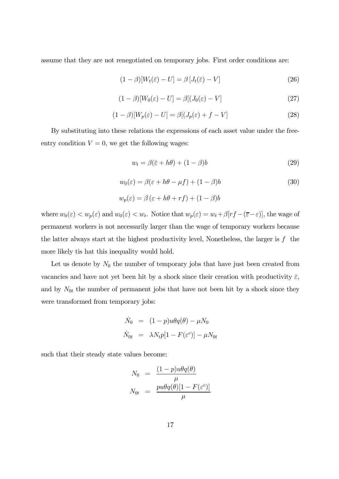assume that they are not renegotiated on temporary jobs. First order conditions are:

$$
(1 - \beta)[W_t(\bar{\varepsilon}) - U] = \beta [J_t(\bar{\varepsilon}) - V]
$$
\n(26)

$$
(1 - \beta)[W_0(\varepsilon) - U] = \beta[(J_0(\varepsilon) - V] \tag{27}
$$

$$
(1 - \beta)[W_p(\varepsilon) - U] = \beta[(J_p(\varepsilon) + f - V]
$$
\n(28)

By substituting into these relations the expressions of each asset value under the freeentry condition  $V = 0$ , we get the following wages:

$$
w_t = \beta(\bar{z} + h\theta) + (1 - \beta)b \tag{29}
$$

$$
w_0(\varepsilon) = \beta(\varepsilon + h\theta - \mu f) + (1 - \beta)b \tag{30}
$$

$$
w_p(\varepsilon) = \beta (\varepsilon + h\theta + rf) + (1 - \beta)b
$$

where  $w_0(\varepsilon) < w_p(\varepsilon)$  and  $w_0(\varepsilon) < w_t$ . Notice that  $w_p(\varepsilon) = w_t + \beta[r_f - (\overline{\varepsilon} - \varepsilon)]$ , the wage of permanent workers is not necessarily larger than the wage of temporary workers because the latter always start at the highest productivity level, Nonetheless, the larger is  $f$  the more likely tis hat this inequality would hold.

Let us denote by  $N_0$  the number of temporary jobs that have just been created from vacancies and have not yet been hit by a shock since their creation with productivity  $\bar{\varepsilon}$ , and by  $N_{0t}$  the number of permanent jobs that have not been hit by a shock since they were transformed from temporary jobs:

$$
\dot{N}_0 = (1 - p)u\theta q(\theta) - \mu N_0
$$
  

$$
\dot{N}_{0t} = \lambda N_t p[1 - F(\varepsilon^c)] - \mu N_{0t}
$$

such that their steady state values become:

$$
N_0 = \frac{(1-p)u\theta q(\theta)}{\mu}
$$
  

$$
N_{0t} = \frac{pu\theta q(\theta)[1 - F(\varepsilon^c)]}{\mu}
$$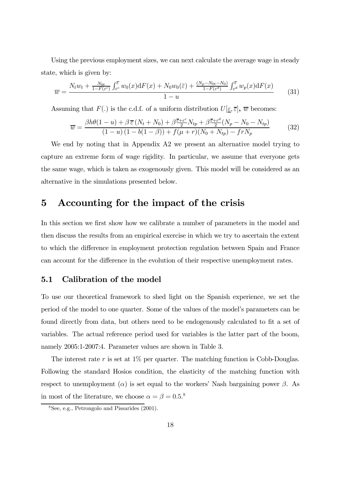Using the previous employment sizes, we can next calculate the average wage in steady state, which is given by:

$$
\overline{w} = \frac{N_t w_t + \frac{N_{0t}}{1 - F(\varepsilon^c)} \int_{\varepsilon^c}^{\overline{\varepsilon}} w_0(x) dF(x) + N_0 w_0(\overline{\varepsilon}) + \frac{(N_p - N_{0t} - N_0)}{1 - F(\varepsilon^d)} \int_{\varepsilon^d}^{\overline{\varepsilon}} w_p(x) dF(x)}{1 - u}
$$
(31)

Assuming that  $F(.)$  is the c.d.f. of a uniform distribution  $U[\underline{\varepsilon}, \overline{\varepsilon}]$ ,  $\overline{w}$  becomes:

$$
\overline{w} = \frac{\beta h \theta (1 - u) + \beta \,\overline{\varepsilon} \left( N_t + N_0 \right) + \beta \frac{\overline{\varepsilon} + \varepsilon^c}{2} N_{tp} + \beta \frac{\overline{\varepsilon} + \varepsilon^d}{2} (N_p - N_0 - N_{tp})}{(1 - u) \left( 1 - b(1 - \beta) \right) + f(\mu + r)(N_0 + N_{tp}) - frN_p} \tag{32}
$$

We end by noting that in Appendix A2 we present an alternative model trying to capture an extreme form of wage rigidity. In particular, we assume that everyone gets the same wage, which is taken as exogenously given. This model will be considered as an alternative in the simulations presented below.

## 5 Accounting for the impact of the crisis

In this section we first show how we calibrate a number of parameters in the model and then discuss the results from an empirical exercise in which we try to ascertain the extent to which the difference in employment protection regulation between Spain and France can account for the difference in the evolution of their respective unemployment rates.

#### 5.1 Calibration of the model

To use our theoretical framework to shed light on the Spanish experience, we set the period of the model to one quarter. Some of the values of the model's parameters can be found directly from data, but others need to be endogenously calculated to fit a set of variables. The actual reference period used for variables is the latter part of the boom, namely 2005:1-2007:4. Parameter values are shown in Table 3.

The interest rate  $r$  is set at 1% per quarter. The matching function is Cobb-Douglas. Following the standard Hosios condition, the elasticity of the matching function with respect to unemployment ( $\alpha$ ) is set equal to the workers' Nash bargaining power  $\beta$ . As in most of the literature, we choose  $\alpha = \beta = 0.5$ .<sup>8</sup>

<sup>8</sup>See, e.g., Petrongolo and Pissarides (2001).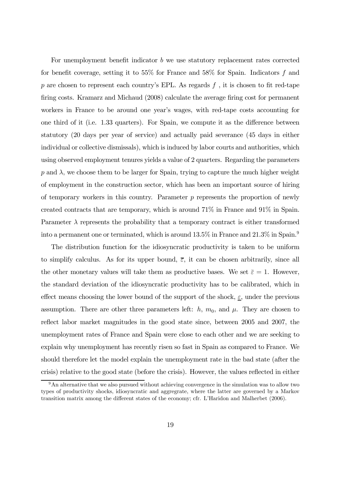For unemployment benefit indicator b we use statutory replacement rates corrected for benefit coverage, setting it to 55% for France and 58% for Spain. Indicators f and p are chosen to represent each country's EPL. As regards  $f$ , it is chosen to fit red-tape firing costs. Kramarz and Michaud (2008) calculate the average firing cost for permanent workers in France to be around one year's wages, with red-tape costs accounting for one third of it (i.e. 1.33 quarters). For Spain, we compute it as the difference between statutory (20 days per year of service) and actually paid severance (45 days in either individual or collective dismissals), which is induced by labor courts and authorities, which using observed employment tenures yields a value of 2 quarters. Regarding the parameters p and  $\lambda$ , we choose them to be larger for Spain, trying to capture the much higher weight of employment in the construction sector, which has been an important source of hiring of temporary workers in this country. Parameter  $p$  represents the proportion of newly created contracts that are temporary, which is around 71% in France and 91% in Spain. Parameter  $\lambda$  represents the probability that a temporary contract is either transformed into a permanent one or terminated, which is around 13.5% in France and 21.3% in Spain.<sup>9</sup>

The distribution function for the idiosyncratic productivity is taken to be uniform to simplify calculus. As for its upper bound,  $\bar{\varepsilon}$ , it can be chosen arbitrarily, since all the other monetary values will take them as productive bases. We set  $\bar{\varepsilon} = 1$ . However, the standard deviation of the idiosyncratic productivity has to be calibrated, which in effect means choosing the lower bound of the support of the shock,  $\varepsilon$ , under the previous assumption. There are other three parameters left: h,  $m_0$ , and  $\mu$ . They are chosen to reflect labor market magnitudes in the good state since, between 2005 and 2007, the unemployment rates of France and Spain were close to each other and we are seeking to explain why unemployment has recently risen so fast in Spain as compared to France. We should therefore let the model explain the unemployment rate in the bad state (after the crisis) relative to the good state (before the crisis). However, the values reflected in either

<sup>9</sup>An alternative that we also pursued without achieving convergence in the simulation was to allow two types of productivity shocks, idiosyncratic and aggregrate, where the latter are governed by a Markov transition matrix among the different states of the economy; cfr. L'Haridon and Malherbet (2006).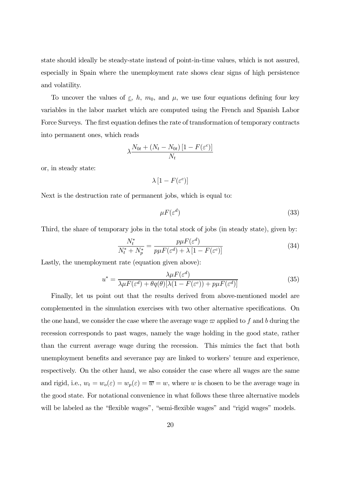state should ideally be steady-state instead of point-in-time values, which is not assured, especially in Spain where the unemployment rate shows clear signs of high persistence and volatility.

To uncover the values of  $\underline{\varepsilon}$ , h,  $m_0$ , and  $\mu$ , we use four equations defining four key variables in the labor market which are computed using the French and Spanish Labor Force Surveys. The first equation defines the rate of transformation of temporary contracts into permanent ones, which reads

$$
\lambda \frac{N_{0t} + (N_t - N_{0t}) [1 - F(\varepsilon^c)]}{N_t}
$$

or, in steady state:

$$
\lambda\left[1-F(\varepsilon^c)\right]
$$

Next is the destruction rate of permanent jobs, which is equal to:

$$
\mu F(\varepsilon^d) \tag{33}
$$

Third, the share of temporary jobs in the total stock of jobs (in steady state), given by:

$$
\frac{N_t^*}{N_t^* + N_p^*} = \frac{p\mu F(\varepsilon^d)}{p\mu F(\varepsilon^d) + \lambda \left[1 - F(\varepsilon^c)\right]}
$$
(34)

Lastly, the unemployment rate (equation given above):

$$
u^* = \frac{\lambda \mu F(\varepsilon^d)}{\lambda \mu F(\varepsilon^d) + \theta q(\theta) [\lambda (1 - F(\varepsilon^c)) + p \mu F(\varepsilon^d)]}
$$
(35)

Finally, let us point out that the results derived from above-mentioned model are complemented in the simulation exercises with two other alternative specifications. On the one hand, we consider the case where the average wage  $\varpi$  applied to f and b during the recession corresponds to past wages, namely the wage holding in the good state, rather than the current average wage during the recession. This mimics the fact that both unemployment benefits and severance pay are linked to workers' tenure and experience, respectively. On the other hand, we also consider the case where all wages are the same and rigid, i.e.,  $w_t = w_o(\varepsilon) = w_p(\varepsilon) = \overline{w} = w$ , where w is chosen to be the average wage in the good state. For notational convenience in what follows these three alternative models will be labeled as the "flexible wages", "semi-flexible wages" and "rigid wages" models.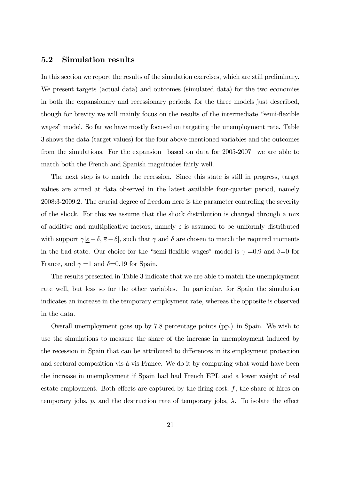#### 5.2 Simulation results

In this section we report the results of the simulation exercises, which are still preliminary. We present targets (actual data) and outcomes (simulated data) for the two economies in both the expansionary and recessionary periods, for the three models just described, though for brevity we will mainly focus on the results of the intermediate "semi-flexible wages" model. So far we have mostly focused on targeting the unemployment rate. Table 3 shows the data (target values) for the four above-mentioned variables and the outcomes from the simulations. For the expansion —based on data for 2005-2007— we are able to match both the French and Spanish magnitudes fairly well.

The next step is to match the recession. Since this state is still in progress, target values are aimed at data observed in the latest available four-quarter period, namely 2008:3-2009:2. The crucial degree of freedom here is the parameter controling the severity of the shock. For this we assume that the shock distribution is changed through a mix of additive and multiplicative factors, namely  $\varepsilon$  is assumed to be uniformly distributed with support  $\gamma[\underline{\varepsilon}-\delta,\overline{\varepsilon}-\delta]$ , such that  $\gamma$  and  $\delta$  are chosen to match the required moments in the bad state. Our choice for the "semi-flexible wages" model is  $\gamma = 0.9$  and  $\delta = 0$  for France, and  $\gamma =1$  and  $\delta =0.19$  for Spain.

The results presented in Table 3 indicate that we are able to match the unemployment rate well, but less so for the other variables. In particular, for Spain the simulation indicates an increase in the temporary employment rate, whereas the opposite is observed in the data.

Overall unemployment goes up by 7.8 percentage points (pp.) in Spain. We wish to use the simulations to measure the share of the increase in unemployment induced by the recession in Spain that can be attributed to differences in its employment protection and sectoral composition vis-à-vis France. We do it by computing what would have been the increase in unemployment if Spain had had French EPL and a lower weight of real estate employment. Both effects are captured by the firing cost,  $f$ , the share of hires on temporary jobs, p, and the destruction rate of temporary jobs,  $\lambda$ . To isolate the effect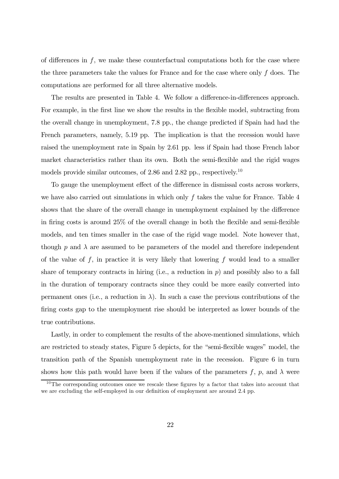of differences in  $f$ , we make these counterfactual computations both for the case where the three parameters take the values for France and for the case where only f does. The computations are performed for all three alternative models.

The results are presented in Table 4. We follow a difference-in-differences approach. For example, in the first line we show the results in the flexible model, subtracting from the overall change in unemployment, 7.8 pp., the change predicted if Spain had had the French parameters, namely, 5.19 pp. The implication is that the recession would have raised the unemployment rate in Spain by 2.61 pp. less if Spain had those French labor market characteristics rather than its own. Both the semi-flexible and the rigid wages models provide similar outcomes, of 2.86 and 2.82 pp., respectively.<sup>10</sup>

To gauge the unemployment effect of the difference in dismissal costs across workers, we have also carried out simulations in which only  $f$  takes the value for France. Table 4 shows that the share of the overall change in unemployment explained by the difference in firing costs is around 25% of the overall change in both the flexible and semi-flexible models, and ten times smaller in the case of the rigid wage model. Note however that, though p and  $\lambda$  are assumed to be parameters of the model and therefore independent of the value of  $f$ , in practice it is very likely that lowering  $f$  would lead to a smaller share of temporary contracts in hiring (i.e., a reduction in  $p$ ) and possibly also to a fall in the duration of temporary contracts since they could be more easily converted into permanent ones (i.e., a reduction in  $\lambda$ ). In such a case the previous contributions of the firing costs gap to the unemployment rise should be interpreted as lower bounds of the true contributions.

Lastly, in order to complement the results of the above-mentioned simulations, which are restricted to steady states, Figure 5 depicts, for the "semi-flexible wages" model, the transition path of the Spanish unemployment rate in the recession. Figure 6 in turn shows how this path would have been if the values of the parameters f, p, and  $\lambda$  were

 $10$ The corresponding outcomes once we rescale these figures by a factor that takes into account that we are excluding the self-employed in our definition of employment are around 2.4 pp.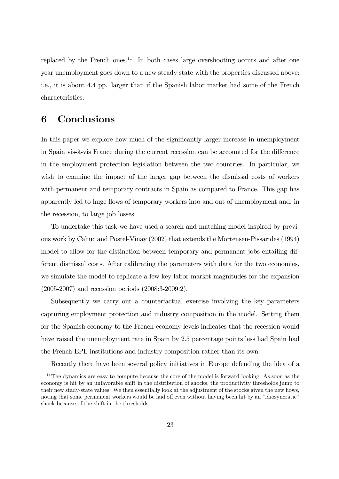replaced by the French ones.<sup>11</sup> In both cases large overshooting occurs and after one year unemployment goes down to a new steady state with the properties discussed above: i.e., it is about 4.4 pp. larger than if the Spanish labor market had some of the French characteristics.

### 6 Conclusions

In this paper we explore how much of the significantly larger increase in unemployment in Spain vis-à-vis France during the current recession can be accounted for the difference in the employment protection legislation between the two countries. In particular, we wish to examine the impact of the larger gap between the dismissal costs of workers with permanent and temporary contracts in Spain as compared to France. This gap has apparently led to huge flows of temporary workers into and out of unemployment and, in the recession, to large job losses.

To undertake this task we have used a search and matching model inspired by previous work by Cahuc and Postel-Vinay (2002) that extends the Mortensen-Pissarides (1994) model to allow for the distinction between temporary and permanent jobs entailing different dismissal costs. After calibrating the parameters with data for the two economies, we simulate the model to replicate a few key labor market magnitudes for the expansion (2005-2007) and recession periods (2008:3-2009:2).

Subsequently we carry out a counterfactual exercise involving the key parameters capturing employment protection and industry composition in the model. Setting them for the Spanish economy to the French-economy levels indicates that the recession would have raised the unemployment rate in Spain by 2.5 percentage points less had Spain had the French EPL institutions and industry composition rather than its own.

Recently there have been several policy initiatives in Europe defending the idea of a

 $11$ The dynamics are easy to compute because the core of the model is forward looking. As soon as the economy is hit by an unfavorable shift in the distribution of shocks, the productivity thresholds jump to their new stady-state values. We then essentially look at the adjustment of the stocks given the new flows, noting that some permanent workers would be laid off even without having been hit by an "idiosyncratic" shock because of the shift in the thresholds.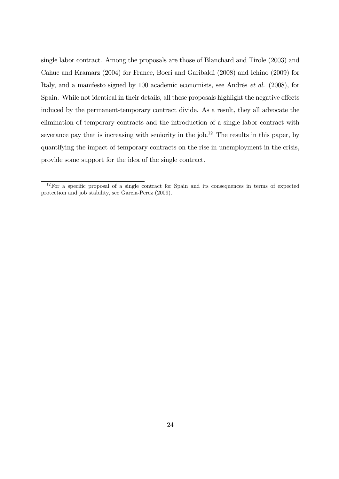single labor contract. Among the proposals are those of Blanchard and Tirole (2003) and Cahuc and Kramarz (2004) for France, Boeri and Garibaldi (2008) and Ichino (2009) for Italy, and a manifesto signed by 100 academic economists, see Andrés et al. (2008), for Spain. While not identical in their details, all these proposals highlight the negative effects induced by the permanent-temporary contract divide. As a result, they all advocate the elimination of temporary contracts and the introduction of a single labor contract with severance pay that is increasing with seniority in the job.<sup>12</sup> The results in this paper, by quantifying the impact of temporary contracts on the rise in unemployment in the crisis, provide some support for the idea of the single contract.

 $12$  For a specific proposal of a single contract for Spain and its consequences in terms of expected protection and job stability, see Garcia-Perez (2009).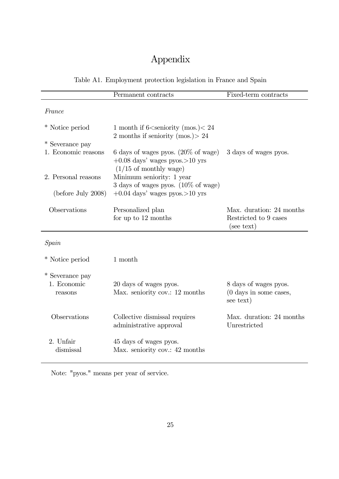## Appendix

## Table A1. Employment protection legislation in France and Spain

|                        | Permanent contracts                                                                                                      | Fixed-term contracts                                                   |
|------------------------|--------------------------------------------------------------------------------------------------------------------------|------------------------------------------------------------------------|
| France                 |                                                                                                                          |                                                                        |
| * Notice period        | 1 month if 6 <seniority (mos.)<="" 24<br="">2 months if seniority (mos.) &gt; 24</seniority>                             |                                                                        |
| * Severance pay        |                                                                                                                          |                                                                        |
| 1. Economic reasons    | 6 days of wages pyos. $(20\% \text{ of wage})$<br>$+0.08$ days' wages pyos. > 10 yrs<br>$(1/15 \text{ of monthly wage})$ | 3 days of wages pyos.                                                  |
| 2. Personal reasons    | Minimum seniority: 1 year                                                                                                |                                                                        |
| (before July 2008)     | 3 days of wages pyos. $(10\% \text{ of wage})$<br>$+0.04$ days' wages pyos. > 10 yrs                                     |                                                                        |
| Observations           | Personalized plan                                                                                                        | Max. duration: 24 months                                               |
|                        | for up to 12 months                                                                                                      | Restricted to 9 cases<br>(see text)                                    |
| Spain                  |                                                                                                                          |                                                                        |
| * Notice period        | 1 month                                                                                                                  |                                                                        |
| * Severance pay        |                                                                                                                          |                                                                        |
| 1. Economic<br>reasons | 20 days of wages pyos.<br>Max. seniority cov.: 12 months                                                                 | 8 days of wages pyos.<br>$(0 \text{ days in some cases},$<br>see text) |
| Observations           | Collective dismissal requires<br>administrative approval                                                                 | Max. duration: 24 months<br>Unrestricted                               |
| 2. Unfair<br>dismissal | 45 days of wages pyos.<br>Max. seniority cov.: 42 months                                                                 |                                                                        |

Note: "pyos." means per year of service.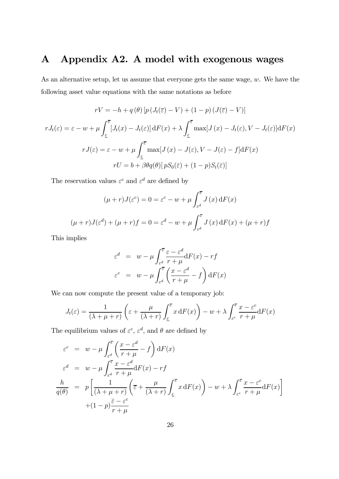## A Appendix A2. A model with exogenous wages

As an alternative setup, let us assume that everyone gets the same wage, w. We have the following asset value equations with the same notations as before

$$
rV = -h + q(\theta) \left[ p(J_t(\overline{\varepsilon}) - V) + (1 - p)(J(\overline{\varepsilon}) - V) \right]
$$

$$
rJ_t(\varepsilon) = \varepsilon - w + \mu \int_{\varepsilon}^{\overline{\varepsilon}} \left[ J_t(x) - J_t(\varepsilon) \right] dF(x) + \lambda \int_{\varepsilon}^{\overline{\varepsilon}} \max[J(x) - J_t(\varepsilon), V - J_t(\varepsilon)] dF(x)
$$

$$
rJ(\varepsilon) = \varepsilon - w + \mu \int_{\varepsilon}^{\overline{\varepsilon}} \max[J(x) - J(\varepsilon), V - J(\varepsilon) - f] dF(x)
$$

$$
rU = b + \beta \theta q(\theta) \left[ pS_0(\overline{\varepsilon}) + (1 - p)S_t(\overline{\varepsilon}) \right]
$$

The reservation values  $\varepsilon^c$  and  $\varepsilon^d$  are defined by

$$
(\mu + r)J(\varepsilon^{c}) = 0 = \varepsilon^{c} - w + \mu \int_{\varepsilon^{d}}^{\overline{\varepsilon}} J(x) dF(x)
$$

$$
(\mu + r)J(\varepsilon^{d}) + (\mu + r)f = 0 = \varepsilon^{d} - w + \mu \int_{\varepsilon^{d}}^{\overline{\varepsilon}} J(x) dF(x) + (\mu + r)f
$$

This implies

$$
\varepsilon^{d} = w - \mu \int_{\varepsilon^{d}}^{\overline{\varepsilon}} \frac{\varepsilon - \varepsilon^{d}}{r + \mu} dF(x) - rf
$$

$$
\varepsilon^{c} = w - \mu \int_{\varepsilon^{d}}^{\overline{\varepsilon}} \left( \frac{x - \varepsilon^{d}}{r + \mu} - f \right) dF(x)
$$

We can now compute the present value of a temporary job:

$$
J_t(\varepsilon) = \frac{1}{(\lambda + \mu + r)} \left( \varepsilon + \frac{\mu}{(\lambda + r)} \int_{\varepsilon}^{\overline{\varepsilon}} x \, dF(x) \right) - w + \lambda \int_{\varepsilon}^{\overline{\varepsilon}} \frac{x - \varepsilon^c}{r + \mu} dF(x)
$$

The equilibrium values of  $\varepsilon^c$ ,  $\varepsilon^d$ , and  $\theta$  are defined by

$$
\varepsilon^{c} = w - \mu \int_{\varepsilon^{d}}^{\overline{\varepsilon}} \left( \frac{x - \varepsilon^{d}}{r + \mu} - f \right) dF(x)
$$
  
\n
$$
\varepsilon^{d} = w - \mu \int_{\varepsilon^{d}}^{\overline{\varepsilon}} \frac{x - \varepsilon^{d}}{r + \mu} dF(x) - rf
$$
  
\n
$$
\frac{h}{q(\theta)} = p \left[ \frac{1}{(\lambda + \mu + r)} \left( \overline{\varepsilon} + \frac{\mu}{(\lambda + r)} \int_{\underline{\varepsilon}}^{\overline{\varepsilon}} x dF(x) \right) - w + \lambda \int_{\varepsilon^{c}}^{\overline{\varepsilon}} \frac{x - \varepsilon^{c}}{r + \mu} dF(x) \right]
$$
  
\n
$$
+ (1 - p) \frac{\overline{\varepsilon} - \varepsilon^{c}}{r + \mu}
$$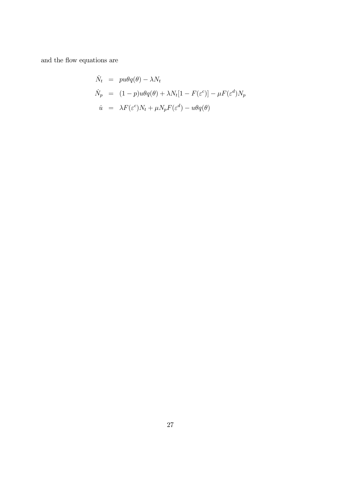and the flow equations are

$$
\dot{N}_t = pu\theta q(\theta) - \lambda N_t
$$
\n
$$
\dot{N}_p = (1 - p)u\theta q(\theta) + \lambda N_t[1 - F(\varepsilon^c)] - \mu F(\varepsilon^d) N_p
$$
\n
$$
\dot{u} = \lambda F(\varepsilon^c) N_t + \mu N_p F(\varepsilon^d) - u\theta q(\theta)
$$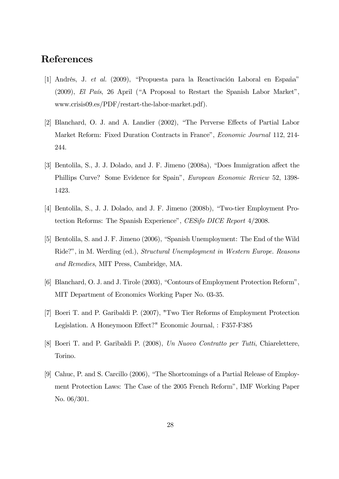## References

- [1] Andrés, J. et al. (2009), "Propuesta para la Reactivación Laboral en España" (2009), El País, 26 April ("A Proposal to Restart the Spanish Labor Market", www.crisis09.es/PDF/restart-the-labor-market.pdf).
- [2] Blanchard, O. J. and A. Landier (2002), "The Perverse Effects of Partial Labor Market Reform: Fixed Duration Contracts in France", Economic Journal 112, 214- 244.
- [3] Bentolila, S., J. J. Dolado, and J. F. Jimeno (2008a), "Does Immigration affect the Phillips Curve? Some Evidence for Spain", European Economic Review 52, 1398- 1423.
- [4] Bentolila, S., J. J. Dolado, and J. F. Jimeno (2008b), "Two-tier Employment Protection Reforms: The Spanish Experience", CESifo DICE Report 4/2008.
- [5] Bentolila, S. and J. F. Jimeno (2006), "Spanish Unemployment: The End of the Wild Ride?", in M. Werding (ed.), Structural Unemployment in Western Europe. Reasons and Remedies, MIT Press, Cambridge, MA.
- [6] Blanchard, O. J. and J. Tirole (2003), "Contours of Employment Protection Reform", MIT Department of Economics Working Paper No. 03-35.
- [7] Boeri T. and P. Garibaldi P. (2007), "Two Tier Reforms of Employment Protection Legislation. A Honeymoon Effect?" Economic Journal, : F357-F385
- [8] Boeri T. and P. Garibaldi P. (2008), Un Nuovo Contratto per Tutti, Chiarelettere, Torino.
- [9] Cahuc, P. and S. Carcillo (2006), "The Shortcomings of a Partial Release of Employment Protection Laws: The Case of the 2005 French Reform", IMF Working Paper No. 06/301.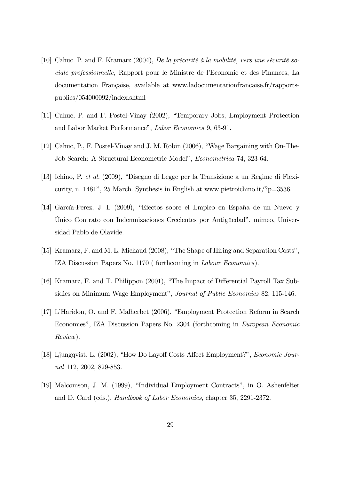- [10] Cahuc. P. and F. Kramarz (2004), De la précarité à la mobilité, vers une sécurité sociale professionnelle, Rapport pour le Ministre de l'Economie et des Finances, La documentation Française, available at www.ladocumentationfrancaise.fr/rapportspublics/054000092/index.shtml
- [11] Cahuc, P. and F. Postel-Vinay (2002), "Temporary Jobs, Employment Protection and Labor Market Performance", Labor Economics 9, 63-91.
- [12] Cahuc, P., F. Postel-Vinay and J. M. Robin (2006), "Wage Bargaining with On-The-Job Search: A Structural Econometric Model", Econometrica 74, 323-64.
- [13] Ichino, P. et al. (2009), "Disegno di Legge per la Transizione a un Regime di Flexicurity, n. 1481", 25 March. Synthesis in English at www.pietroichino.it/?p=3536.
- [14] García-Perez, J. I. (2009), "Efectos sobre el Empleo en España de un Nuevo y Único Contrato con Indemnizaciones Crecientes por Antigüedad", mimeo, Universidad Pablo de Olavide.
- [15] Kramarz, F. and M. L. Michaud (2008), "The Shape of Hiring and Separation Costs", IZA Discussion Papers No. 1170 ( forthcoming in Labour Economics).
- [16] Kramarz, F. and T. Philippon (2001), "The Impact of Differential Payroll Tax Subsidies on Minimum Wage Employment", Journal of Public Economics 82, 115-146.
- [17] L'Haridon, O. and F. Malherbet (2006), "Employment Protection Reform in Search Economies", IZA Discussion Papers No. 2304 (forthcoming in European Economic Review).
- [18] Ljungqvist, L. (2002), "How Do Layoff Costs Affect Employment?", Economic Journal 112, 2002, 829-853.
- [19] Malcomson, J. M. (1999), "Individual Employment Contracts", in O. Ashenfelter and D. Card (eds.), Handbook of Labor Economics, chapter 35, 2291-2372.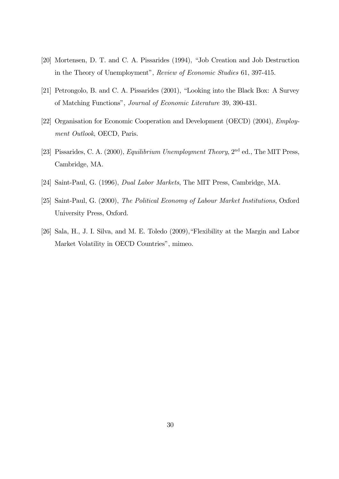- [20] Mortensen, D. T. and C. A. Pissarides (1994), "Job Creation and Job Destruction in the Theory of Unemployment", Review of Economic Studies 61, 397-415.
- [21] Petrongolo, B. and C. A. Pissarides (2001), "Looking into the Black Box: A Survey of Matching Functions", Journal of Economic Literature 39, 390-431.
- [22] Organisation for Economic Cooperation and Development (OECD) (2004), Employment Outlook, OECD, Paris.
- [23] Pissarides, C. A. (2000), *Equilibrium Unemployment Theory*, 2<sup>nd</sup> ed., The MIT Press, Cambridge, MA.
- [24] Saint-Paul, G. (1996), Dual Labor Markets, The MIT Press, Cambridge, MA.
- [25] Saint-Paul, G. (2000), The Political Economy of Labour Market Institutions, Oxford University Press, Oxford.
- [26] Sala, H., J. I. Silva, and M. E. Toledo (2009),"Flexibility at the Margin and Labor Market Volatility in OECD Countries", mimeo.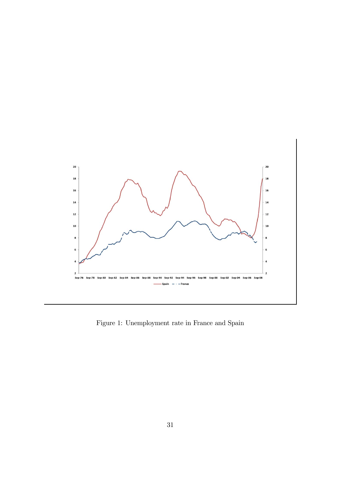

Figure 1: Unemployment rate in France and Spain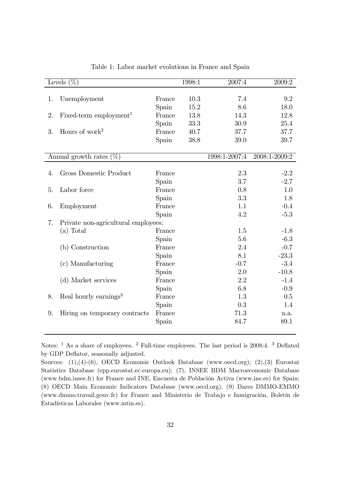|    | Levels $(\%)$                       |        | 1998:1 | 2007:4        | 2009:2        |  |
|----|-------------------------------------|--------|--------|---------------|---------------|--|
|    |                                     |        |        |               |               |  |
| 1. | Unemployment                        | France | 10.3   | 7.4           | 9.2           |  |
|    |                                     | Spain  | 15.2   | 8.6           | 18.0          |  |
| 2. | Fixed-term employment <sup>1</sup>  | France | 13.8   | 14.3          | 12.8          |  |
|    |                                     | Spain  | 33.3   | 30.9          | 25.4          |  |
| 3. | Hours of work <sup>2</sup>          | France | 40.7   | 37.7          | 37.7          |  |
|    |                                     | Spain  | 38.8   | 39.0          | 39.7          |  |
|    | Annual growth rates<br>$(\%)$       |        |        | 1998:1-2007:4 | 2008:1-2009:2 |  |
|    |                                     |        |        |               |               |  |
| 4. | Gross Domestic Product              | France |        | 2.3           | $-2.2$        |  |
|    |                                     | Spain  |        | 3.7           | $-2.7$        |  |
| 5. | Labor force                         | France |        | 0.8           | 1.0           |  |
|    |                                     | Spain  |        | 3.3           | 1.8           |  |
| 6. | Employment                          | France |        | 1.1           | $-0.4$        |  |
|    |                                     | Spain  |        | 4.2           | $-5.3$        |  |
| 7. | Private non-agricultural employees: |        |        |               |               |  |
|    | (a) Total                           | France |        | 1.5           | $-1.8$        |  |
|    |                                     | Spain  |        | 5.6           | $-6.3$        |  |
|    | (b) Construction                    | France |        | 2.4           | $-0.7$        |  |
|    |                                     | Spain  |        | 8.1           | $-23.3$       |  |
|    | (c) Manufacturing                   | France |        | $-0.7$        | $-3.4$        |  |
|    |                                     | Spain  |        | 2.0           | $-10.8$       |  |
|    | (d) Market services                 | France |        | 2.2           | $-1.4$        |  |
|    |                                     | Spain  |        | 6.8           | $-0.9$        |  |
| 8. | Real hourly earnings <sup>3</sup>   | France |        | 1.3           | 0.5           |  |
|    |                                     | Spain  |        | 0.3           | 1.4           |  |
| 9. | Hiring on temporary contracts       | France |        | 71.3          | n.a.          |  |
|    |                                     | Spain  |        | 84.7          | 89.1          |  |
|    |                                     |        |        |               |               |  |

Table 1: Labor market evolutions in France and Spain

Notes: <sup>1</sup> As a share of employees. <sup>2</sup> Full-time employees. The last period is 2008:4. <sup>3</sup> Deflated by GDP Deflator, seasonally adjusted.

Sources: (1),(4)-(6), OECD Economic Outlook Database (www.oecd.org); (2),(3) Eurostat Statistics Database (epp.eurostat.ec.europa.eu); (7), INSEE BDM Macroeconomic Database (www.bdm.insee.fr) for France and INE, Encuesta de Población Activa (www.ine.es) for Spain; (8) OECD Main Economic Indicators Database (www.oecd.org), (9) Dares DMMO-EMMO (www.dmmo.travail.gouv.fr) for France and Ministerio de Trabajo e Inmigración, Boletín de Estadísticas Laborales (www.mtin.es).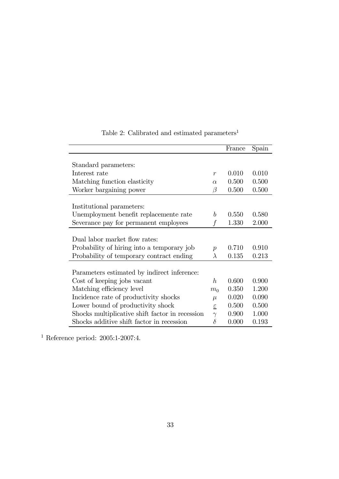|                                                 |                           | France | Spain |
|-------------------------------------------------|---------------------------|--------|-------|
|                                                 |                           |        |       |
| Standard parameters:                            |                           |        |       |
| Interest rate                                   | $\boldsymbol{r}$          | 0.010  | 0.010 |
| Matching function elasticity                    | $\alpha$                  | 0.500  | 0.500 |
| Worker bargaining power                         | $\beta$                   | 0.500  | 0.500 |
|                                                 |                           |        |       |
| Institutional parameters:                       |                           |        |       |
| Unemployment benefit replacemente rate          | b                         | 0.550  | 0.580 |
| Severance pay for permanent employees           | f                         | 1.330  | 2.000 |
|                                                 |                           |        |       |
| Dual labor market flow rates:                   |                           |        |       |
| Probability of hiring into a temporary job      | $\overline{p}$            | 0.710  | 0.910 |
| Probability of temporary contract ending        | λ                         | 0.135  | 0.213 |
|                                                 |                           |        |       |
| Parameters estimated by indirect inference:     |                           |        |       |
| Cost of keeping jobs vacant                     | h                         | 0.600  | 0.900 |
| Matching efficiency level                       | m <sub>0</sub>            | 0.350  | 1.200 |
| Incidence rate of productivity shocks           | $\mu$                     | 0.020  | 0.090 |
| Lower bound of productivity shock               | $\underline{\varepsilon}$ | 0.500  | 0.500 |
| Shocks multiplicative shift factor in recession | $\gamma$                  | 0.900  | 1.000 |
| Shocks additive shift factor in recession       | $\delta$                  | 0.000  | 0.193 |

Table 2: Calibrated and estimated parameters  $\real^1$ 

 $^{\rm 1}$  Reference period: 2005:1-2007:4.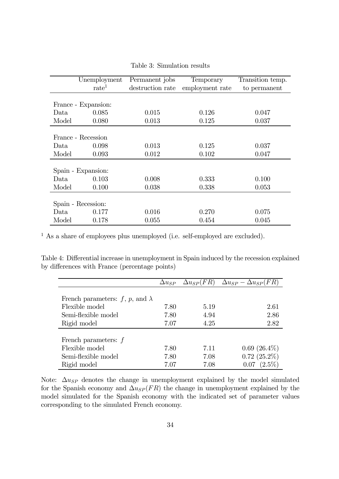|                    | Unemployment        | Permanent jobs   | Temporary       | Transition temp. |
|--------------------|---------------------|------------------|-----------------|------------------|
|                    | $\mathrm{rate}^1$   | destruction rate | employment rate | to permanent     |
|                    |                     |                  |                 |                  |
|                    | France - Expansion: |                  |                 |                  |
| Data               | 0.085               | 0.015            | 0.126           | 0.047            |
| Model              | 0.080               | 0.013            | 0.125           | 0.037            |
|                    |                     |                  |                 |                  |
|                    | France - Recession  |                  |                 |                  |
| Data               | 0.098               | 0.013            | 0.125           | 0.037            |
| Model              | 0.093               | 0.012            | 0.102           | 0.047            |
|                    |                     |                  |                 |                  |
|                    | Spain - Expansion:  |                  |                 |                  |
| Data               | 0.103               | 0.008            | 0.333           | 0.100            |
| Model              | 0.100               | 0.038            | 0.338           | 0.053            |
|                    |                     |                  |                 |                  |
| Spain - Recession: |                     |                  |                 |                  |
| Data               | 0.177               | 0.016            | 0.270           | 0.075            |
| Model              | 0.178               | 0.055            | 0.454           | 0.045            |

Table 3: Simulation results

<sup>1</sup> As a share of employees plus unemployed (i.e. self-employed are excluded).

Table 4: Differential increase in unemployment in Spain induced by the recession explained by differences with France (percentage points)

|                                        | $\Delta u_{SP}$ | $\Delta u_{SP}(FR)$ | $\Delta u_{SP} - \Delta u_{SP}(FR)$ |
|----------------------------------------|-----------------|---------------------|-------------------------------------|
|                                        |                 |                     |                                     |
| French parameters: f, p, and $\lambda$ |                 |                     |                                     |
| Flexible model                         | 7.80            | 5.19                | 2.61                                |
| Semi-flexible model                    | 7.80            | 4.94                | 2.86                                |
| Rigid model                            | 7.07            | 4.25                | 2.82                                |
|                                        |                 |                     |                                     |
| French parameters: $f$                 |                 |                     |                                     |
| Flexible model                         | 7.80            | 7.11                | $0.69~(26.4\%)$                     |
| Semi-flexible model                    | 7.80            | 7.08                | $0.72(25.2\%)$                      |
| Rigid model                            | 7.07            | 7.08                | $(2.5\%)$<br>0.07                   |

Note:  $\Delta u_{SP}$  denotes the change in unemployment explained by the model simulated for the Spanish economy and  $\Delta u_{SP}(FR)$  the change in unemployment explained by the model simulated for the Spanish economy with the indicated set of parameter values corresponding to the simulated French economy.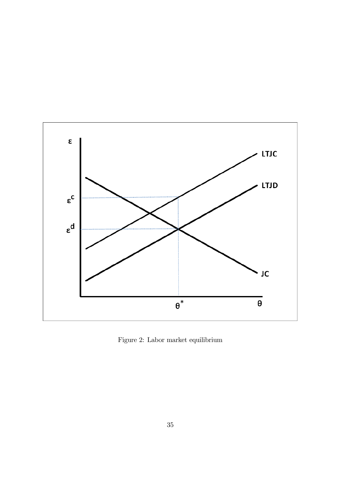

Figure 2: Labor market equilibrium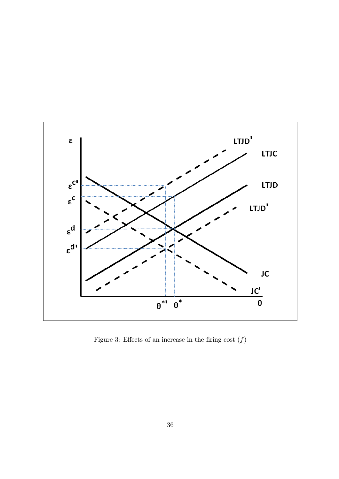

Figure 3: Effects of an increase in the firing cost  $(f)$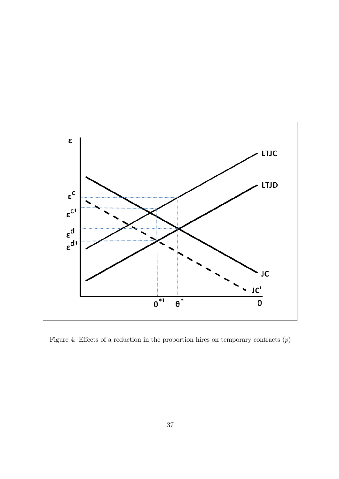

Figure 4: Effects of a reduction in the proportion hires on temporary contracts  $(p)$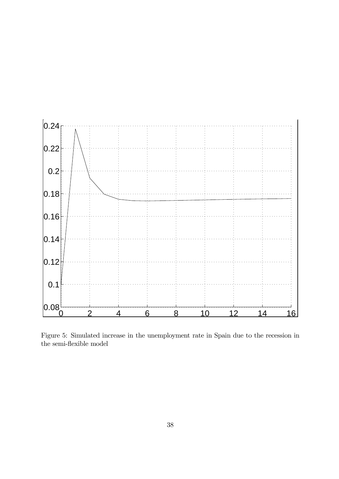

Figure 5: Simulated increase in the unemployment rate in Spain due to the recession in the semi-flexible model